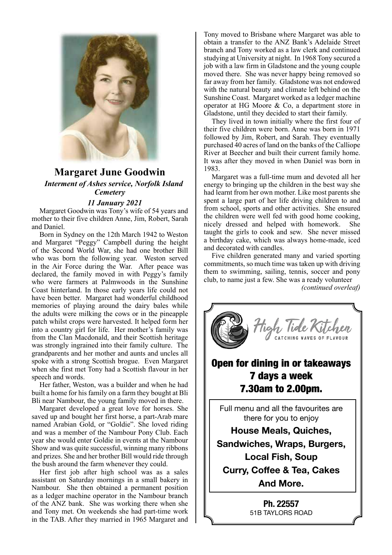

## **Margaret June Goodwin** *Interment of Ashes service, Norfolk Island Cemetery*

 *11 January 2021*

Margaret Goodwin was Tony's wife of 54 years and mother to their five children Anne, Jim, Robert, Sarah and Daniel.

Born in Sydney on the 12th March 1942 to Weston and Margaret "Peggy" Campbell during the height of the Second World War, she had one brother Bill who was born the following year. Weston served in the Air Force during the War. After peace was declared, the family moved in with Peggy's family who were farmers at Palmwoods in the Sunshine Coast hinterland. In those early years life could not have been better. Margaret had wonderful childhood memories of playing around the dairy bales while the adults were milking the cows or in the pineapple patch whilst crops were harvested. It helped form her into a country girl for life. Her mother's family was from the Clan Macdonald, and their Scottish heritage was strongly ingrained into their family culture. The grandparents and her mother and aunts and uncles all spoke with a strong Scottish brogue. Even Margaret when she first met Tony had a Scottish flavour in her speech and words.

Her father, Weston, was a builder and when he had built a home for his family on a farm they bought at Bli Bli near Nambour, the young family moved in there.

Margaret developed a great love for horses. She saved up and bought her first horse, a part-Arab mare named Arabian Gold, or "Goldie". She loved riding and was a member of the Nambour Pony Club. Each year she would enter Goldie in events at the Nambour Show and was quite successful, winning many ribbons and prizes. She and her brother Bill would ride through the bush around the farm whenever they could.

Her first job after high school was as a sales assistant on Saturday mornings in a small bakery in Nambour. She then obtained a permanent position as a ledger machine operator in the Nambour branch of the ANZ bank. She was working there when she and Tony met. On weekends she had part-time work in the TAB. After they married in 1965 Margaret and Tony moved to Brisbane where Margaret was able to obtain a transfer to the ANZ Bank's Adelaide Street branch and Tony worked as a law clerk and continued studying at University at night. In 1968 Tony secured a job with a law firm in Gladstone and the young couple moved there. She was never happy being removed so far away from her family. Gladstone was not endowed with the natural beauty and climate left behind on the Sunshine Coast. Margaret worked as a ledger machine operator at HG Moore & Co, a department store in Gladstone, until they decided to start their family.

They lived in town initially where the first four of their five children were born. Anne was born in 1971 followed by Jim, Robert, and Sarah. They eventually purchased 40 acres of land on the banks of the Calliope River at Beecher and built their current family home. It was after they moved in when Daniel was born in 1983.

Margaret was a full-time mum and devoted all her energy to bringing up the children in the best way she had learnt from her own mother. Like most parents she spent a large part of her life driving children to and from school, sports and other activities. She ensured the children were well fed with good home cooking, nicely dressed and helped with homework. She taught the girls to cook and sew. She never missed a birthday cake, which was always home-made, iced and decorated with candles.

Five children generated many and varied sporting commitments, so much time was taken up with driving them to swimming, sailing, tennis, soccer and pony club, to name just a few. She was a ready volunteer





*– the perfect place*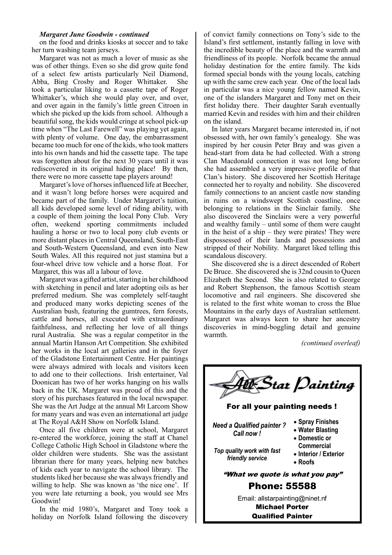#### *Margaret June Goodwin - continued*

on the food and drinks kiosks at soccer and to take her turn washing team jerseys.

Margaret was not as much a lover of music as she was of other things. Even so she did grow quite fond of a select few artists particularly Neil Diamond, Abba, Bing Crosby and Roger Whittaker. She took a particular liking to a cassette tape of Roger Whittaker's, which she would play over, and over, and over again in the family's little green Citroen in which she picked up the kids from school. Although a beautiful song, the kids would cringe at school pick-up time when "The Last Farewell" was playing yet again, with plenty of volume. One day, the embarrassment became too much for one of the kids, who took matters into his own hands and hid the cassette tape. The tape was forgotten about for the next 30 years until it was rediscovered in its original hiding place! By then, there were no more cassette tape players around!

Margaret's love of horses influenced life at Beecher, and it wasn't long before horses were acquired and became part of the family. Under Margaret's tuition, all kids developed some level of riding ability, with a couple of them joining the local Pony Club. Very often, weekend sporting commitments included hauling a horse or two to local pony club events or more distant places in Central Queensland, South-East and South-Western Queensland, and even into New South Wales. All this required not just stamina but a four-wheel drive tow vehicle and a horse float. For Margaret, this was all a labour of love.

Margaret was a gifted artist, starting in her childhood with sketching in pencil and later adopting oils as her preferred medium. She was completely self-taught and produced many works depicting scenes of the Australian bush, featuring the gumtrees, fern forests, cattle and horses, all executed with extraordinary faithfulness, and reflecting her love of all things rural Australia. She was a regular competitor in the annual Martin Hanson Art Competition. She exhibited her works in the local art galleries and in the foyer of the Gladstone Entertainment Centre. Her paintings were always admired with locals and visitors keen to add one to their collections. Irish entertainer, Val Doonican has two of her works hanging on his walls back in the UK. Margaret was proud of this and the story of his purchases featured in the local newspaper. She was the Art Judge at the annual Mt Larcom Show for many years and was even an international art judge at The Royal A&H Show on Norfolk Island.

Once all five children were at school, Margaret re-entered the workforce, joining the staff at Chanel College Catholic High School in Gladstone where the older children were students. She was the assistant librarian there for many years, helping new batches of kids each year to navigate the school library. The students liked her because she was always friendly and willing to help. She was known as 'the nice one'. If you were late returning a book, you would see Mrs Goodwin!

In the mid 1980's, Margaret and Tony took a holiday on Norfolk Island following the discovery of convict family connections on Tony's side to the Island's first settlement, instantly falling in love with the incredible beauty of the place and the warmth and friendliness of its people. Norfolk became the annual holiday destination for the entire family. The kids formed special bonds with the young locals, catching up with the same crew each year. One of the local lads in particular was a nice young fellow named Kevin, one of the islanders Margaret and Tony met on their first holiday there. Their daughter Sarah eventually married Kevin and resides with him and their children on the island.

In later years Margaret became interested in, if not obsessed with, her own family's genealogy. She was inspired by her cousin Peter Bray and was given a head-start from data he had collected. With a strong Clan Macdonald connection it was not long before she had assembled a very impressive profile of that Clan's history. She discovered her Scottish Heritage connected her to royalty and nobility. She discovered family connections to an ancient castle now standing in ruins on a windswept Scottish coastline, once belonging to relations in the Sinclair family. She also discovered the Sinclairs were a very powerful and wealthy family – until some of them were caught in the heist of a ship – they were pirates! They were dispossessed of their lands and possessions and stripped of their Nobility. Margaret liked telling this scandalous discovery.

She discovered she is a direct descended of Robert De Bruce. She discovered she is 32nd cousin to Queen Elizabeth the Second. She is also related to George and Robert Stephenson, the famous Scottish steam locomotive and rail engineers. She discovered she is related to the first white woman to cross the Blue Mountains in the early days of Australian settlement. Margaret was always keen to share her ancestry discoveries in mind-boggling detail and genuine warmth.

*(continued overleaf)*